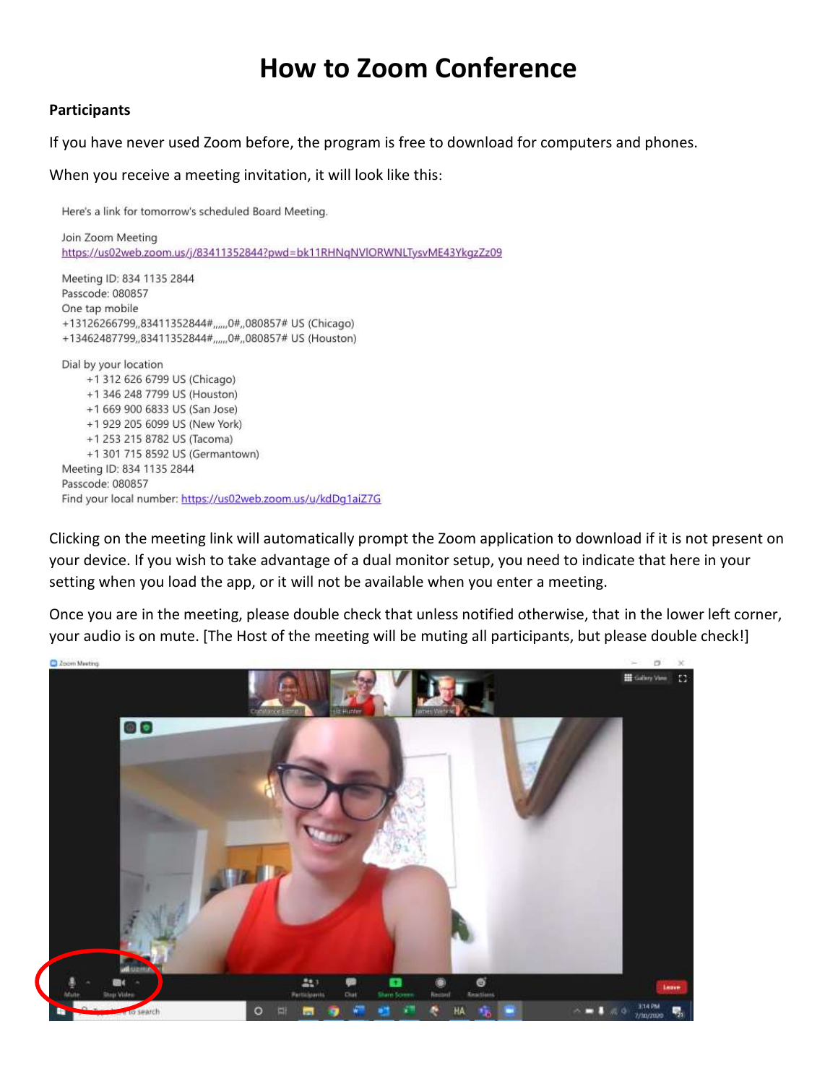## **How to Zoom Conference**

## **Participants**

If you have never used Zoom before, the program is free to download for computers and phones.

When you receive a meeting invitation, it will look like this:

Here's a link for tomorrow's scheduled Board Meeting.

Join Zoom Meeting https://us02web.zoom.us/j/83411352844?pwd=bk11RHNqNVlORWNLTysvME43YkqzZz09

Meeting ID: 834 1135 2844 Passcode: 080857 One tap mobile +13126266799,,83411352844#,,,,,0#,,080857# US (Chicago) +13462487799,,83411352844#,,,,,,0#,,080857# US (Houston) Dial by your location +1 312 626 6799 US (Chicago) +1 346 248 7799 US (Houston)

+1 669 900 6833 US (San Jose) +1 929 205 6099 US (New York) +1 253 215 8782 US (Tacoma) +1 301 715 8592 US (Germantown) Meeting ID: 834 1135 2844 Passcode: 080857 Find your local number: https://us02web.zoom.us/u/kdDq1aiZ7G

Clicking on the meeting link will automatically prompt the Zoom application to download if it is not present on your device. If you wish to take advantage of a dual monitor setup, you need to indicate that here in your setting when you load the app, or it will not be available when you enter a meeting.

Once you are in the meeting, please double check that unless notified otherwise, that in the lower left corner, your audio is on mute. [The Host of the meeting will be muting all participants, but please double check!]

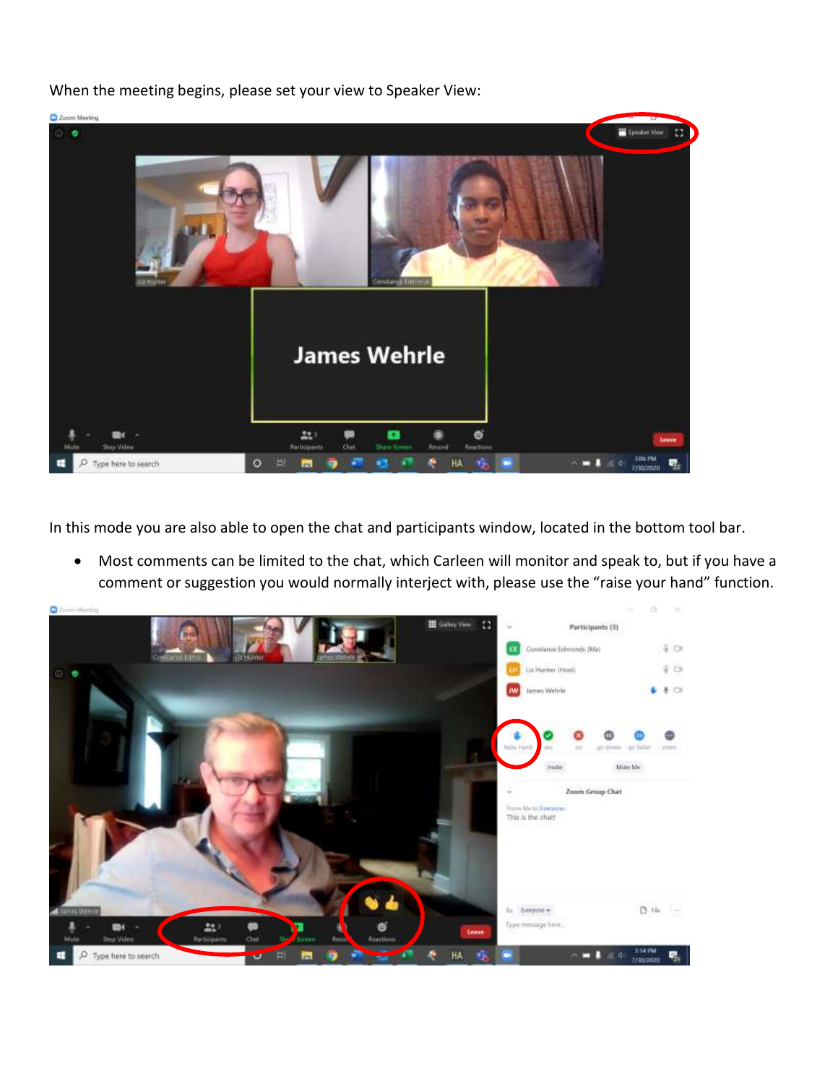

When the meeting begins, please set your view to Speaker View:

In this mode you are also able to open the chat and participants window, located in the bottom tool bar.

 Most comments can be limited to the chat, which Carleen will monitor and speak to, but if you have a comment or suggestion you would normally interject with, please use the "raise your hand" function.